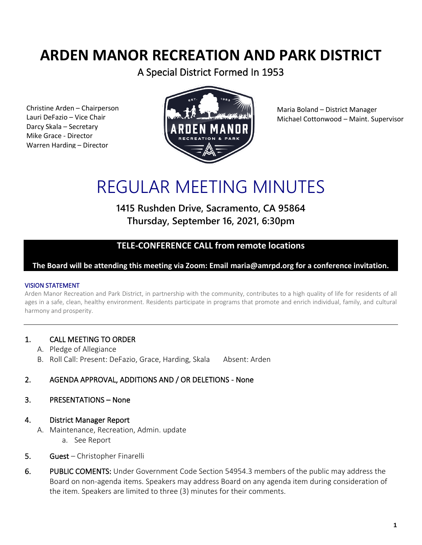## **ARDEN MANOR RECREATION AND PARK DISTRICT**

A Special District Formed In 1953

Christine Arden – Chairperson Lauri DeFazio – Vice Chair Darcy Skala – Secretary Mike Grace - Director Warren Harding – Director



Maria Boland – District Manager Michael Cottonwood – Maint. Supervisor

# REGULAR MEETING MINUTES

**1415 Rushden Drive, Sacramento, CA 95864 Thursday, September 16, 2021, 6:30pm**

## **TELE-CONFERENCE CALL from remote locations**

**The Board will be attending this meeting via Zoom: Email maria@amrpd.org for a conference invitation.** 

#### VISION STATEMENT

Arden Manor Recreation and Park District, in partnership with the community, contributes to a high quality of life for residents of all ages in a safe, clean, healthy environment. Residents participate in programs that promote and enrich individual, family, and cultural harmony and prosperity.

#### 1. CALL MEETING TO ORDER

- A. Pledge of Allegiance
- B. Roll Call: Present: DeFazio, Grace, Harding, Skala Absent: Arden

#### 2. AGENDA APPROVAL, ADDITIONS AND / OR DELETIONS - None

#### 3. PRESENTATIONS – None

#### 4. District Manager Report

- A. Maintenance, Recreation, Admin. update
	- a. See Report
- 5. Guest Christopher Finarelli
- 6. PUBLIC COMENTS: Under Government Code Section 54954.3 members of the public may address the Board on non-agenda items. Speakers may address Board on any agenda item during consideration of the item. Speakers are limited to three (3) minutes for their comments.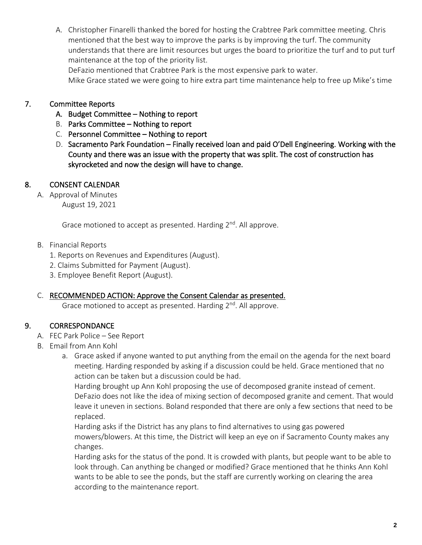A. Christopher Finarelli thanked the bored for hosting the Crabtree Park committee meeting. Chris mentioned that the best way to improve the parks is by improving the turf. The community understands that there are limit resources but urges the board to prioritize the turf and to put turf maintenance at the top of the priority list.

DeFazio mentioned that Crabtree Park is the most expensive park to water. Mike Grace stated we were going to hire extra part time maintenance help to free up Mike's time

#### 7. Committee Reports

- A. Budget Committee Nothing to report
- B. Parks Committee Nothing to report
- C. Personnel Committee Nothing to report
- D. Sacramento Park Foundation Finally received loan and paid O'Dell Engineering. Working with the County and there was an issue with the property that was split. The cost of construction has skyrocketed and now the design will have to change.

### 8. CONSENT CALENDAR

A. Approval of Minutes August 19, 2021

Grace motioned to accept as presented. Harding 2<sup>nd</sup>. All approve.

- B. Financial Reports
	- 1. Reports on Revenues and Expenditures (August).
	- 2. Claims Submitted for Payment (August).
	- 3. Employee Benefit Report (August).

#### C. RECOMMENDED ACTION: Approve the Consent Calendar as presented.

Grace motioned to accept as presented. Harding 2<sup>nd</sup>. All approve.

#### 9. CORRESPONDANCE

- A. FEC Park Police See Report
- B. Email from Ann Kohl
	- a. Grace asked if anyone wanted to put anything from the email on the agenda for the next board meeting. Harding responded by asking if a discussion could be held. Grace mentioned that no action can be taken but a discussion could be had.

Harding brought up Ann Kohl proposing the use of decomposed granite instead of cement. DeFazio does not like the idea of mixing section of decomposed granite and cement. That would leave it uneven in sections. Boland responded that there are only a few sections that need to be replaced.

Harding asks if the District has any plans to find alternatives to using gas powered mowers/blowers. At this time, the District will keep an eye on if Sacramento County makes any changes.

Harding asks for the status of the pond. It is crowded with plants, but people want to be able to look through. Can anything be changed or modified? Grace mentioned that he thinks Ann Kohl wants to be able to see the ponds, but the staff are currently working on clearing the area according to the maintenance report.